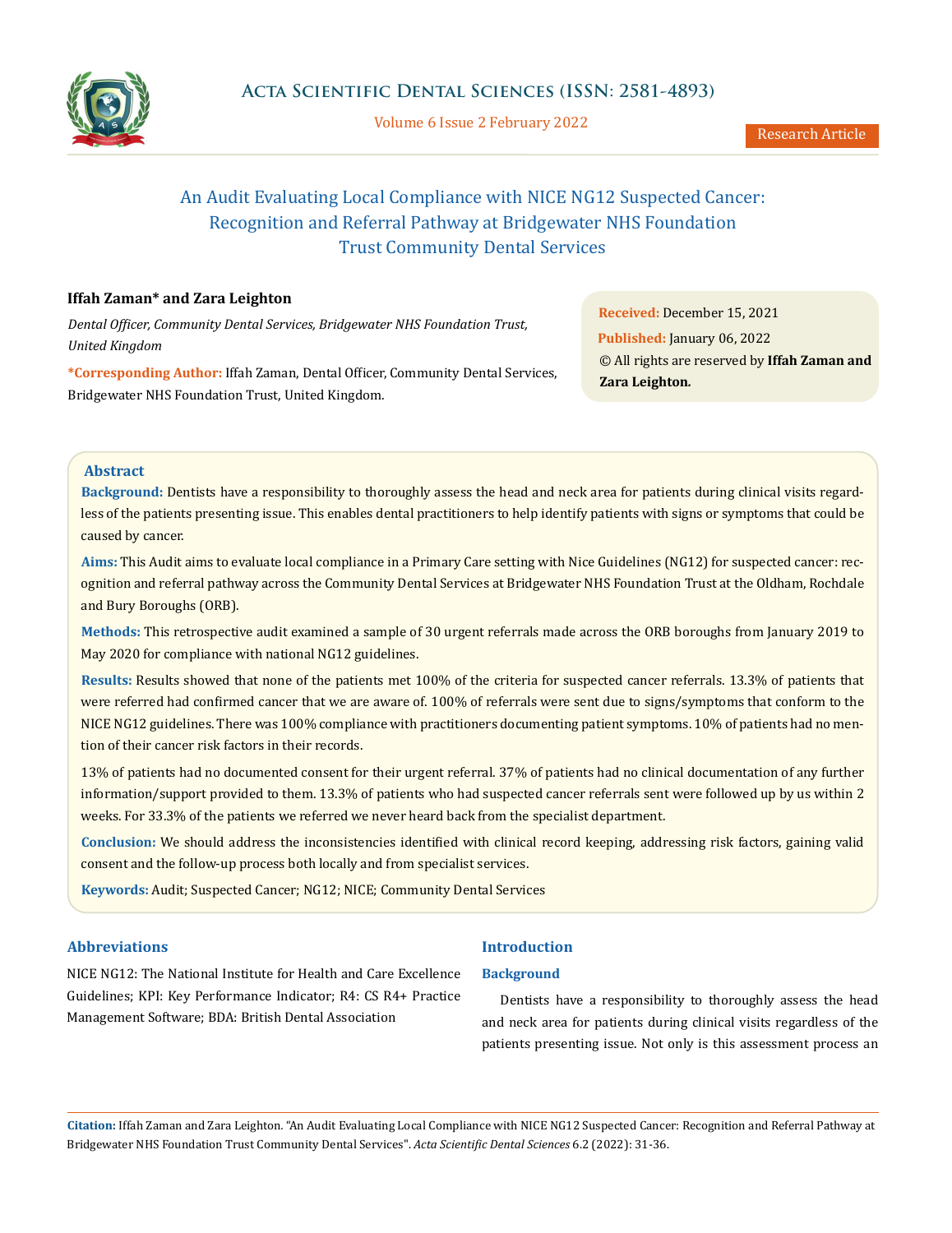

Volume 6 Issue 2 February 2022

# An Audit Evaluating Local Compliance with NICE NG12 Suspected Cancer: Recognition and Referral Pathway at Bridgewater NHS Foundation Trust Community Dental Services

# **Iffah Zaman\* and Zara Leighton**

*Dental Officer, Community Dental Services, Bridgewater NHS Foundation Trust, United Kingdom*

**\*Corresponding Author:** Iffah Zaman, Dental Officer, Community Dental Services, Bridgewater NHS Foundation Trust, United Kingdom.

**Received:** December 15, 2021 **Published:** January 06, 2022 © All rights are reserved by **Iffah Zaman and Zara Leighton***.*

## **Abstract**

**Background:** Dentists have a responsibility to thoroughly assess the head and neck area for patients during clinical visits regardless of the patients presenting issue. This enables dental practitioners to help identify patients with signs or symptoms that could be caused by cancer.

**Aims:** This Audit aims to evaluate local compliance in a Primary Care setting with Nice Guidelines (NG12) for suspected cancer: recognition and referral pathway across the Community Dental Services at Bridgewater NHS Foundation Trust at the Oldham, Rochdale and Bury Boroughs (ORB).

**Methods:** This retrospective audit examined a sample of 30 urgent referrals made across the ORB boroughs from January 2019 to May 2020 for compliance with national NG12 guidelines.

**Results:** Results showed that none of the patients met 100% of the criteria for suspected cancer referrals. 13.3% of patients that were referred had confirmed cancer that we are aware of. 100% of referrals were sent due to signs/symptoms that conform to the NICE NG12 guidelines. There was 100% compliance with practitioners documenting patient symptoms. 10% of patients had no mention of their cancer risk factors in their records.

13% of patients had no documented consent for their urgent referral. 37% of patients had no clinical documentation of any further information/support provided to them. 13.3% of patients who had suspected cancer referrals sent were followed up by us within 2 weeks. For 33.3% of the patients we referred we never heard back from the specialist department.

**Conclusion:** We should address the inconsistencies identified with clinical record keeping, addressing risk factors, gaining valid consent and the follow-up process both locally and from specialist services.

**Keywords:** Audit; Suspected Cancer; NG12; NICE; Community Dental Services

# **Abbreviations**

NICE NG12: [The National Institute for Health and Care Excellence](https://www.nice.org.uk/)  [Guidelines; KPI: Key Performance Indicator; R4: CS R4+ Practice](https://www.nice.org.uk/)  [Management Software; BDA: British Dental Association](https://www.nice.org.uk/)

# **Introduction**

## **Background**

Dentists have a responsibility to thoroughly assess the head and neck area for patients during clinical visits regardless of the patients presenting issue. Not only is this assessment process an

**Citation:** Iffah Zaman and Zara Leighton*.* "An Audit Evaluating Local Compliance with NICE NG12 Suspected Cancer: Recognition and Referral Pathway at Bridgewater NHS Foundation Trust Community Dental Services". *Acta Scientific Dental Sciences* 6.2 (2022): 31-36.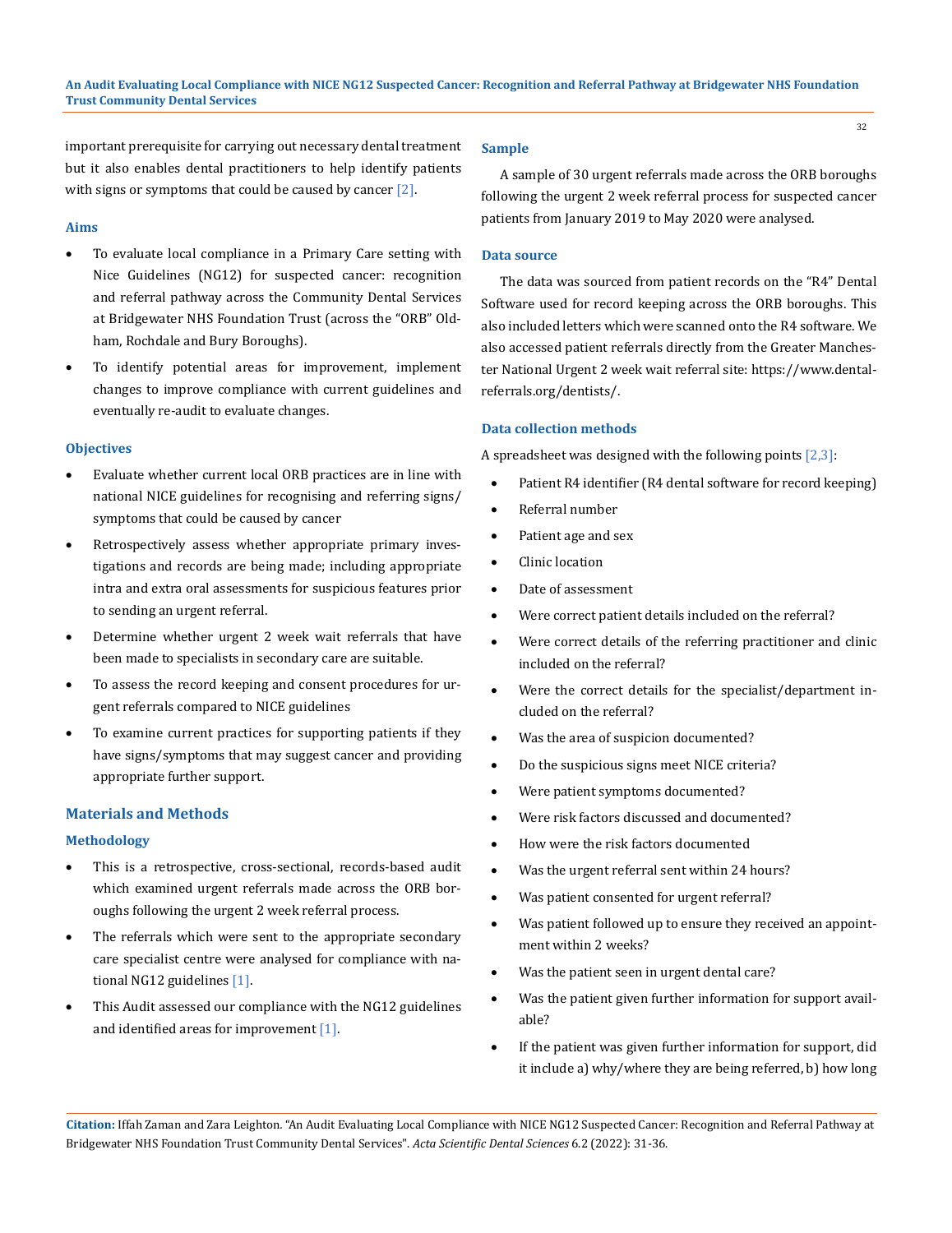important prerequisite for carrying out necessary dental treatment but it also enables dental practitioners to help identify patients with signs or symptoms that could be caused by cancer [2].

#### **Aims**

- • To evaluate local compliance in a Primary Care setting with Nice Guidelines (NG12) for suspected cancer: recognition and referral pathway across the Community Dental Services at Bridgewater NHS Foundation Trust (across the "ORB" Oldham, Rochdale and Bury Boroughs).
- To identify potential areas for improvement, implement changes to improve compliance with current guidelines and eventually re-audit to evaluate changes.

## **Objectives**

- Evaluate whether current local ORB practices are in line with national NICE guidelines for recognising and referring signs/ symptoms that could be caused by cancer
- Retrospectively assess whether appropriate primary investigations and records are being made; including appropriate intra and extra oral assessments for suspicious features prior to sending an urgent referral.
- Determine whether urgent 2 week wait referrals that have been made to specialists in secondary care are suitable.
- To assess the record keeping and consent procedures for urgent referrals compared to NICE guidelines
- To examine current practices for supporting patients if they have signs/symptoms that may suggest cancer and providing appropriate further support.

## **Materials and Methods**

## **Methodology**

- This is a retrospective, cross-sectional, records-based audit which examined urgent referrals made across the ORB boroughs following the urgent 2 week referral process.
- The referrals which were sent to the appropriate secondary care specialist centre were analysed for compliance with national NG12 guidelines [1].
- This Audit assessed our compliance with the NG12 guidelines and identified areas for improvement [1].

#### **Sample**

A sample of 30 urgent referrals made across the ORB boroughs following the urgent 2 week referral process for suspected cancer patients from January 2019 to May 2020 were analysed.

## **Data source**

The data was sourced from patient records on the "R4" Dental Software used for record keeping across the ORB boroughs. This also included letters which were scanned onto the R4 software. We also accessed patient referrals directly from the Greater Manchester National Urgent 2 week wait referral site: https://www.dentalreferrals.org/dentists/.

## **Data collection methods**

A spreadsheet was designed with the following points  $[2,3]$ :

- Patient R4 identifier (R4 dental software for record keeping)
- Referral number
- Patient age and sex
- • Clinic location
- Date of assessment
- Were correct patient details included on the referral?
- Were correct details of the referring practitioner and clinic included on the referral?
- Were the correct details for the specialist/department included on the referral?
- Was the area of suspicion documented?
- Do the suspicious signs meet NICE criteria?
- Were patient symptoms documented?
- Were risk factors discussed and documented?
- How were the risk factors documented
- Was the urgent referral sent within 24 hours?
- Was patient consented for urgent referral?
- Was patient followed up to ensure they received an appointment within 2 weeks?
- Was the patient seen in urgent dental care?
- Was the patient given further information for support available?
- • If the patient was given further information for support, did it include a) why/where they are being referred, b) how long

**Citation:** Iffah Zaman and Zara Leighton*.* "An Audit Evaluating Local Compliance with NICE NG12 Suspected Cancer: Recognition and Referral Pathway at Bridgewater NHS Foundation Trust Community Dental Services". *Acta Scientific Dental Sciences* 6.2 (2022): 31-36.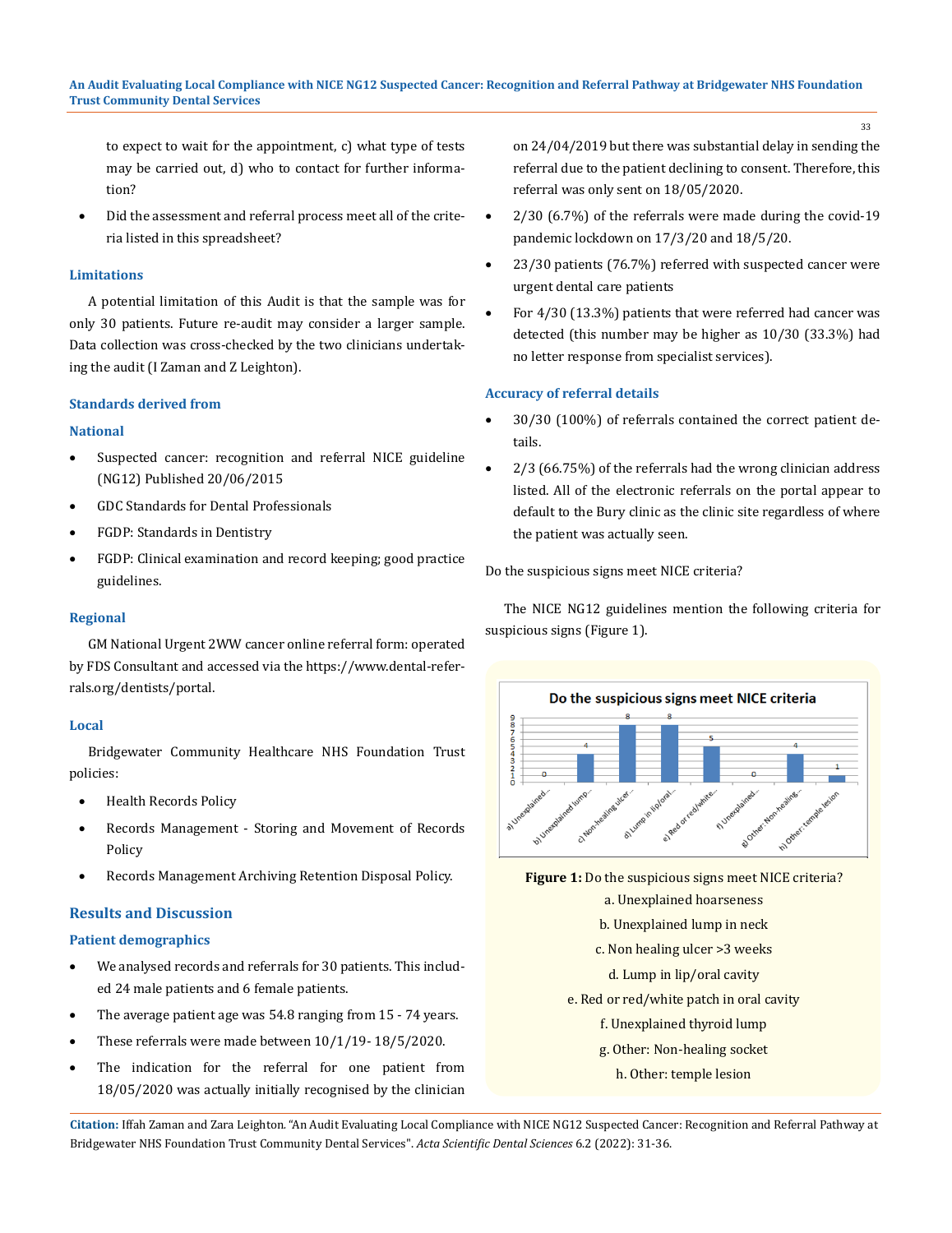to expect to wait for the appointment, c) what type of tests may be carried out, d) who to contact for further information?

Did the assessment and referral process meet all of the criteria listed in this spreadsheet?

#### **Limitations**

A potential limitation of this Audit is that the sample was for only 30 patients. Future re-audit may consider a larger sample. Data collection was cross-checked by the two clinicians undertaking the audit (I Zaman and Z Leighton).

#### **Standards derived from**

#### **National**

- • Suspected cancer: recognition and referral NICE guideline (NG12) Published 20/06/2015
- GDC Standards for Dental Professionals
- • FGDP: Standards in Dentistry
- FGDP: Clinical examination and record keeping; good practice guidelines.

#### **Regional**

GM National Urgent 2WW cancer online referral form: operated by FDS Consultant and accessed via the https://www.dental-referrals.org/dentists/portal.

## **Local**

Bridgewater Community Healthcare NHS Foundation Trust policies:

- **Health Records Policy**
- Records Management Storing and Movement of Records Policy
- Records Management Archiving Retention Disposal Policy.

## **Results and Discussion**

## **Patient demographics**

- We analysed records and referrals for 30 patients. This included 24 male patients and 6 female patients.
- The average patient age was  $54.8$  ranging from  $15 74$  years.
- These referrals were made between  $10/1/19 18/5/2020$ .
- The indication for the referral for one patient from 18/05/2020 was actually initially recognised by the clinician

on 24/04/2019 but there was substantial delay in sending the referral due to the patient declining to consent. Therefore, this referral was only sent on 18/05/2020.

- $2/30$  (6.7%) of the referrals were made during the covid-19 pandemic lockdown on 17/3/20 and 18/5/20.
- 23/30 patients (76.7%) referred with suspected cancer were urgent dental care patients
- For  $4/30$  (13.3%) patients that were referred had cancer was detected (this number may be higher as 10/30 (33.3%) had no letter response from specialist services).

## **Accuracy of referral details**

- 30/30 (100%) of referrals contained the correct patient details.
- $2/3$  (66.75%) of the referrals had the wrong clinician address listed. All of the electronic referrals on the portal appear to default to the Bury clinic as the clinic site regardless of where the patient was actually seen.

Do the suspicious signs meet NICE criteria?

The NICE NG12 guidelines mention the following criteria for suspicious signs (Figure 1).



**Figure 1:** Do the suspicious signs meet NICE criteria? a. Unexplained hoarseness b. Unexplained lump in neck c. Non healing ulcer >3 weeks d. Lump in lip/oral cavity e. Red or red/white patch in oral cavity

- f. Unexplained thyroid lump
- g. Other: Non-healing socket
	- h. Other: temple lesion

**Citation:** Iffah Zaman and Zara Leighton*.* "An Audit Evaluating Local Compliance with NICE NG12 Suspected Cancer: Recognition and Referral Pathway at Bridgewater NHS Foundation Trust Community Dental Services". *Acta Scientific Dental Sciences* 6.2 (2022): 31-36.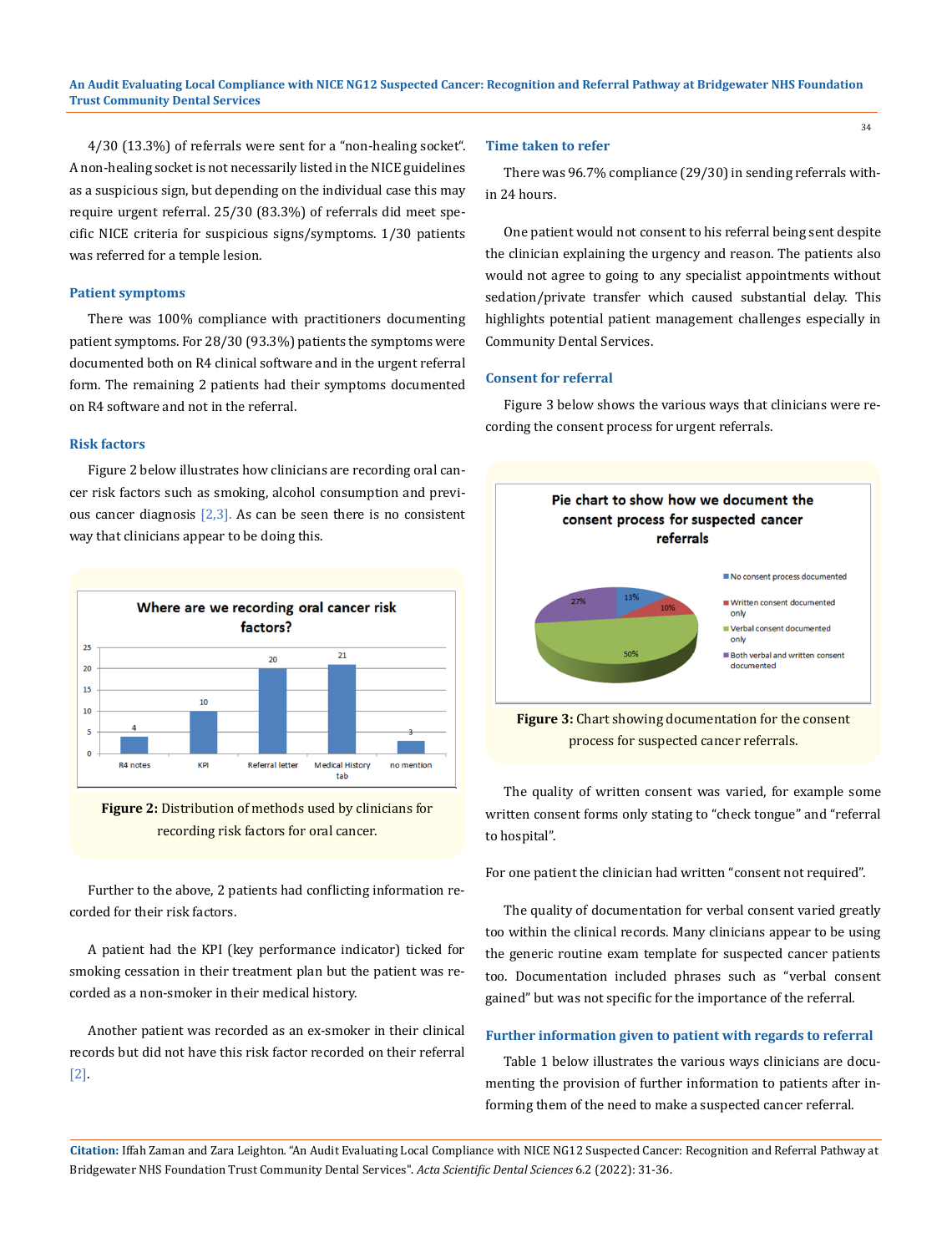4/30 (13.3%) of referrals were sent for a "non-healing socket". A non-healing socket is not necessarily listed in the NICE guidelines as a suspicious sign, but depending on the individual case this may require urgent referral. 25/30 (83.3%) of referrals did meet specific NICE criteria for suspicious signs/symptoms. 1/30 patients was referred for a temple lesion.

#### **Patient symptoms**

There was 100% compliance with practitioners documenting patient symptoms. For 28/30 (93.3%) patients the symptoms were documented both on R4 clinical software and in the urgent referral form. The remaining 2 patients had their symptoms documented on R4 software and not in the referral.

#### **Risk factors**

Figure 2 below illustrates how clinicians are recording oral cancer risk factors such as smoking, alcohol consumption and previous cancer diagnosis  $[2,3]$ . As can be seen there is no consistent way that clinicians appear to be doing this.



**Figure 2:** Distribution of methods used by clinicians for recording risk factors for oral cancer.

Further to the above, 2 patients had conflicting information recorded for their risk factors.

A patient had the KPI (key performance indicator) ticked for smoking cessation in their treatment plan but the patient was recorded as a non-smoker in their medical history.

Another patient was recorded as an ex-smoker in their clinical records but did not have this risk factor recorded on their referral [2].

#### **Time taken to refer**

There was 96.7% compliance (29/30) in sending referrals within 24 hours.

One patient would not consent to his referral being sent despite the clinician explaining the urgency and reason. The patients also would not agree to going to any specialist appointments without sedation/private transfer which caused substantial delay. This highlights potential patient management challenges especially in Community Dental Services.

#### **Consent for referral**

Figure 3 below shows the various ways that clinicians were recording the consent process for urgent referrals.



process for suspected cancer referrals.

The quality of written consent was varied, for example some written consent forms only stating to "check tongue" and "referral to hospital".

For one patient the clinician had written "consent not required".

The quality of documentation for verbal consent varied greatly too within the clinical records. Many clinicians appear to be using the generic routine exam template for suspected cancer patients too. Documentation included phrases such as "verbal consent gained" but was not specific for the importance of the referral.

## **Further information given to patient with regards to referral**

Table 1 below illustrates the various ways clinicians are documenting the provision of further information to patients after informing them of the need to make a suspected cancer referral.

**Citation:** Iffah Zaman and Zara Leighton*.* "An Audit Evaluating Local Compliance with NICE NG12 Suspected Cancer: Recognition and Referral Pathway at Bridgewater NHS Foundation Trust Community Dental Services". *Acta Scientific Dental Sciences* 6.2 (2022): 31-36.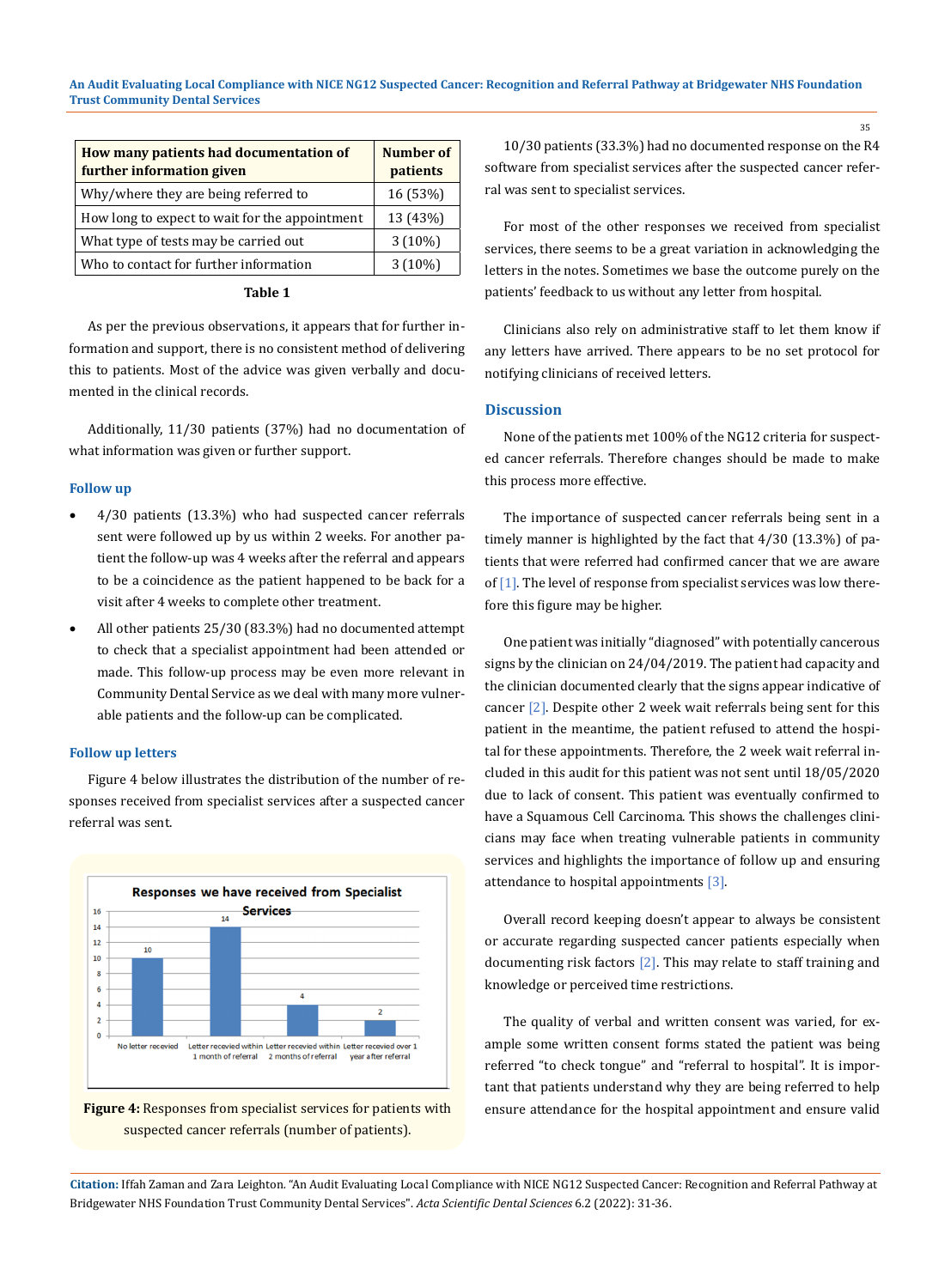| How many patients had documentation of<br>further information given | <b>Number of</b><br>patients |
|---------------------------------------------------------------------|------------------------------|
| Why/where they are being referred to                                | 16 (53%)                     |
| How long to expect to wait for the appointment                      | 13 (43%)                     |
| What type of tests may be carried out                               | $3(10\%)$                    |
| Who to contact for further information                              | $3(10\%)$                    |

## **Table 1**

As per the previous observations, it appears that for further information and support, there is no consistent method of delivering this to patients. Most of the advice was given verbally and documented in the clinical records.

Additionally, 11/30 patients (37%) had no documentation of what information was given or further support.

#### **Follow up**

- • 4/30 patients (13.3%) who had suspected cancer referrals sent were followed up by us within 2 weeks. For another patient the follow-up was 4 weeks after the referral and appears to be a coincidence as the patient happened to be back for a visit after 4 weeks to complete other treatment.
- All other patients 25/30 (83.3%) had no documented attempt to check that a specialist appointment had been attended or made. This follow-up process may be even more relevant in Community Dental Service as we deal with many more vulnerable patients and the follow-up can be complicated.

#### **Follow up letters**

Figure 4 below illustrates the distribution of the number of responses received from specialist services after a suspected cancer referral was sent.





10/30 patients (33.3%) had no documented response on the R4 software from specialist services after the suspected cancer referral was sent to specialist services.

For most of the other responses we received from specialist services, there seems to be a great variation in acknowledging the letters in the notes. Sometimes we base the outcome purely on the patients' feedback to us without any letter from hospital.

Clinicians also rely on administrative staff to let them know if any letters have arrived. There appears to be no set protocol for notifying clinicians of received letters.

#### **Discussion**

None of the patients met 100% of the NG12 criteria for suspected cancer referrals. Therefore changes should be made to make this process more effective.

The importance of suspected cancer referrals being sent in a timely manner is highlighted by the fact that 4/30 (13.3%) of patients that were referred had confirmed cancer that we are aware of [1]. The level of response from specialist services was low therefore this figure may be higher.

One patient was initially "diagnosed" with potentially cancerous signs by the clinician on 24/04/2019. The patient had capacity and the clinician documented clearly that the signs appear indicative of cancer [2]. Despite other 2 week wait referrals being sent for this patient in the meantime, the patient refused to attend the hospital for these appointments. Therefore, the 2 week wait referral included in this audit for this patient was not sent until 18/05/2020 due to lack of consent. This patient was eventually confirmed to have a Squamous Cell Carcinoma. This shows the challenges clinicians may face when treating vulnerable patients in community services and highlights the importance of follow up and ensuring attendance to hospital appointments [3].

Overall record keeping doesn't appear to always be consistent or accurate regarding suspected cancer patients especially when documenting risk factors [2]. This may relate to staff training and knowledge or perceived time restrictions.

The quality of verbal and written consent was varied, for example some written consent forms stated the patient was being referred "to check tongue" and "referral to hospital". It is important that patients understand why they are being referred to help ensure attendance for the hospital appointment and ensure valid

**Citation:** Iffah Zaman and Zara Leighton*.* "An Audit Evaluating Local Compliance with NICE NG12 Suspected Cancer: Recognition and Referral Pathway at Bridgewater NHS Foundation Trust Community Dental Services". *Acta Scientific Dental Sciences* 6.2 (2022): 31-36.